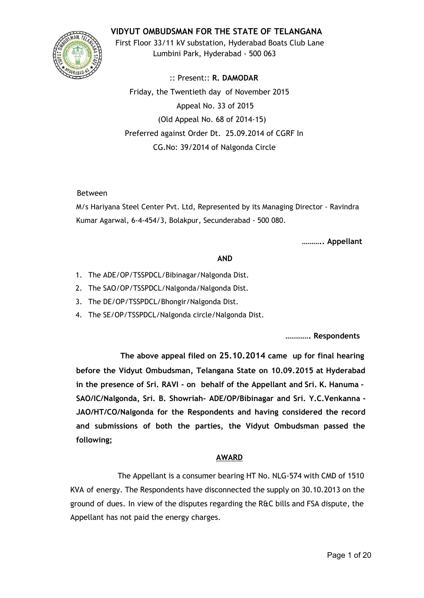## **VIDYUT OMBUDSMAN FOR THE STATE OF TELANGANA**



First Floor 33/11 kV substation, Hyderabad Boats Club Lane Lumbini Park, Hyderabad - 500 063

:: Present:: **R. DAMODAR** Friday, the Twentieth day of November 2015 Appeal No. 33 of 2015 (Old Appeal No. 68 of 2014-15) Preferred against Order Dt. 25.09.2014 of CGRF In CG.No: 39/2014 of Nalgonda Circle

### Between

M/s Hariyana Steel Center Pvt. Ltd, Represented by its Managing Director - Ravindra Kumar Agarwal, 6-4-454/3, Bolakpur, Secunderabad - 500 080.

**……….. Appellant**

#### **AND**

- 1. The ADE/OP/TSSPDCL/Bibinagar/Nalgonda Dist.
- 2. The SAO/OP/TSSPDCL/Nalgonda/Nalgonda Dist.
- 3. The DE/OP/TSSPDCL/Bhongir/Nalgonda Dist.
- 4. The SE/OP/TSSPDCL/Nalgonda circle/Nalgonda Dist.

**…………. Respondents**

**The above appeal filed on 25.10.2014 came up for final hearing before the Vidyut Ombudsman, Telangana State on 10.09.2015 at Hyderabad in the presence of Sri. RAVI - on behalf of the Appellant and Sri. K. Hanuma - SAO/IC/Nalgonda, Sri. B. Showriah- ADE/OP/Bibinagar and Sri. Y.C.Venkanna - JAO/HT/CO/Nalgonda for the Respondents and having considered the record and submissions of both the parties, the Vidyut Ombudsman passed the following;**

# **AWARD**

The Appellant is a consumer bearing HT No. NLG-574 with CMD of 1510 KVA of energy. The Respondents have disconnected the supply on 30.10.2013 on the ground of dues. In view of the disputes regarding the R&C bills and FSA dispute, the Appellant has not paid the energy charges.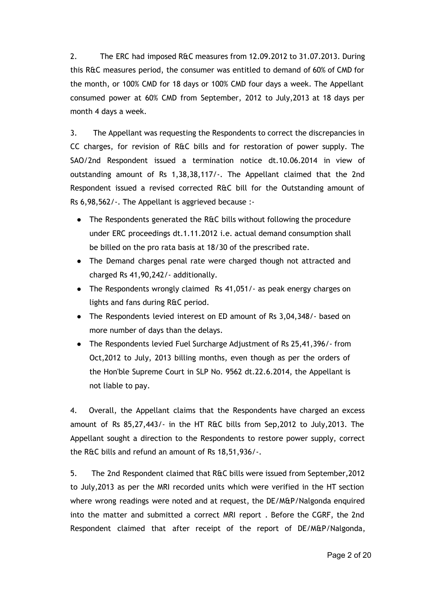2. The ERC had imposed R&C measures from 12.09.2012 to 31.07.2013. During this R&C measures period, the consumer was entitled to demand of 60% of CMD for the month, or 100% CMD for 18 days or 100% CMD four days a week. The Appellant consumed power at 60% CMD from September, 2012 to July,2013 at 18 days per month 4 days a week.

3. The Appellant was requesting the Respondents to correct the discrepancies in CC charges, for revision of R&C bills and for restoration of power supply. The SAO/2nd Respondent issued a termination notice dt.10.06.2014 in view of outstanding amount of Rs 1,38,38,117/-. The Appellant claimed that the 2nd Respondent issued a revised corrected R&C bill for the Outstanding amount of Rs 6,98,562/-. The Appellant is aggrieved because :-

- The Respondents generated the R&C bills without following the procedure under ERC proceedings dt.1.11.2012 i.e. actual demand consumption shall be billed on the pro rata basis at 18/30 of the prescribed rate.
- The Demand charges penal rate were charged though not attracted and charged Rs 41,90,242/- additionally.
- The Respondents wrongly claimed Rs 41,051/- as peak energy charges on lights and fans during R&C period.
- The Respondents levied interest on ED amount of Rs 3,04,348/- based on more number of days than the delays.
- The Respondents levied Fuel Surcharge Adjustment of Rs 25,41,396/- from Oct,2012 to July, 2013 billing months, even though as per the orders of the Hon'ble Supreme Court in SLP No. 9562 dt.22.6.2014, the Appellant is not liable to pay.

4. Overall, the Appellant claims that the Respondents have charged an excess amount of Rs 85,27,443/- in the HT R&C bills from Sep,2012 to July,2013. The Appellant sought a direction to the Respondents to restore power supply, correct the R&C bills and refund an amount of Rs 18,51,936/-.

5. The 2nd Respondent claimed that R&C bills were issued from September,2012 to July,2013 as per the MRI recorded units which were verified in the HT section where wrong readings were noted and at request, the DE/M&P/Nalgonda enquired into the matter and submitted a correct MRI report . Before the CGRF, the 2nd Respondent claimed that after receipt of the report of DE/M&P/Nalgonda,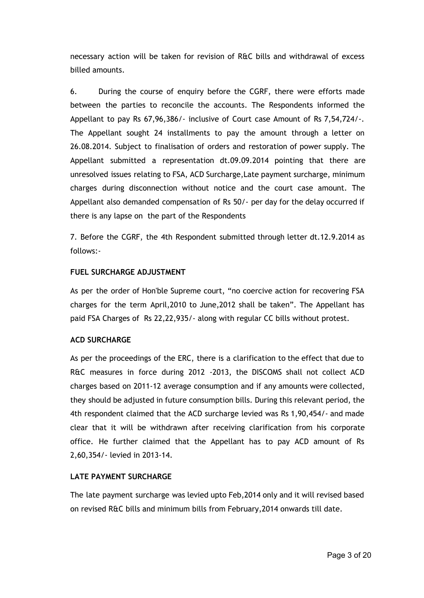necessary action will be taken for revision of R&C bills and withdrawal of excess billed amounts.

6. During the course of enquiry before the CGRF, there were efforts made between the parties to reconcile the accounts. The Respondents informed the Appellant to pay Rs 67,96,386/- inclusive of Court case Amount of Rs 7,54,724/-. The Appellant sought 24 installments to pay the amount through a letter on 26.08.2014. Subject to finalisation of orders and restoration of power supply. The Appellant submitted a representation dt.09.09.2014 pointing that there are unresolved issues relating to FSA, ACD Surcharge,Late payment surcharge, minimum charges during disconnection without notice and the court case amount. The Appellant also demanded compensation of Rs 50/- per day for the delay occurred if there is any lapse on the part of the Respondents

7. Before the CGRF, the 4th Respondent submitted through letter dt.12.9.2014 as follows:-

## **FUEL SURCHARGE ADJUSTMENT**

As per the order of Hon'ble Supreme court, "no coercive action for recovering FSA charges for the term April,2010 to June,2012 shall be taken". The Appellant has paid FSA Charges of Rs 22,22,935/- along with regular CC bills without protest.

#### **ACD SURCHARGE**

As per the proceedings of the ERC, there is a clarification to the effect that due to R&C measures in force during 2012 -2013, the DISCOMS shall not collect ACD charges based on 2011-12 average consumption and if any amounts were collected, they should be adjusted in future consumption bills. During this relevant period, the 4th respondent claimed that the ACD surcharge levied was Rs 1,90,454/- and made clear that it will be withdrawn after receiving clarification from his corporate office. He further claimed that the Appellant has to pay ACD amount of Rs 2,60,354/- levied in 2013-14.

#### **LATE PAYMENT SURCHARGE**

The late payment surcharge was levied upto Feb,2014 only and it will revised based on revised R&C bills and minimum bills from February,2014 onwards till date.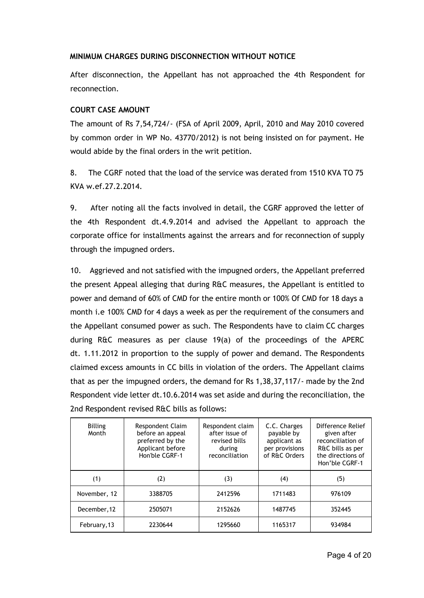## **MINIMUM CHARGES DURING DISCONNECTION WITHOUT NOTICE**

After disconnection, the Appellant has not approached the 4th Respondent for reconnection.

## **COURT CASE AMOUNT**

The amount of Rs 7,54,724/- (FSA of April 2009, April, 2010 and May 2010 covered by common order in WP No. 43770/2012) is not being insisted on for payment. He would abide by the final orders in the writ petition.

8. The CGRF noted that the load of the service was derated from 1510 KVA TO 75 KVA w.ef.27.2.2014.

9. After noting all the facts involved in detail, the CGRF approved the letter of the 4th Respondent dt.4.9.2014 and advised the Appellant to approach the corporate office for installments against the arrears and for reconnection of supply through the impugned orders.

10. Aggrieved and not satisfied with the impugned orders, the Appellant preferred the present Appeal alleging that during R&C measures, the Appellant is entitled to power and demand of 60% of CMD for the entire month or 100% Of CMD for 18 days a month i.e 100% CMD for 4 days a week as per the requirement of the consumers and the Appellant consumed power as such. The Respondents have to claim CC charges during R&C measures as per clause 19(a) of the proceedings of the APERC dt. 1.11.2012 in proportion to the supply of power and demand. The Respondents claimed excess amounts in CC bills in violation of the orders. The Appellant claims that as per the impugned orders, the demand for Rs 1,38,37,117/- made by the 2nd Respondent vide letter dt.10.6.2014 was set aside and during the reconciliation, the 2nd Respondent revised R&C bills as follows:

| Billing<br>Month | Respondent Claim<br>before an appeal<br>preferred by the<br>Applicant before<br>Hon'ble CGRF-1 | Respondent claim<br>after issue of<br>revised bills<br>during<br>reconciliation | C.C. Charges<br>payable by<br>applicant as<br>per provisions<br>of R&C Orders | Difference Relief<br>given after<br>reconciliation of<br>R&C bills as per<br>the directions of<br>Hon'ble CGRF-1 |
|------------------|------------------------------------------------------------------------------------------------|---------------------------------------------------------------------------------|-------------------------------------------------------------------------------|------------------------------------------------------------------------------------------------------------------|
| (1)              | (2)                                                                                            | (3)                                                                             | (4)                                                                           | (5)                                                                                                              |
| November, 12     | 3388705                                                                                        | 2412596                                                                         | 1711483                                                                       | 976109                                                                                                           |
| December, 12     | 2505071                                                                                        | 2152626                                                                         | 1487745                                                                       | 352445                                                                                                           |
| February, 13     | 2230644                                                                                        | 1295660                                                                         | 1165317                                                                       | 934984                                                                                                           |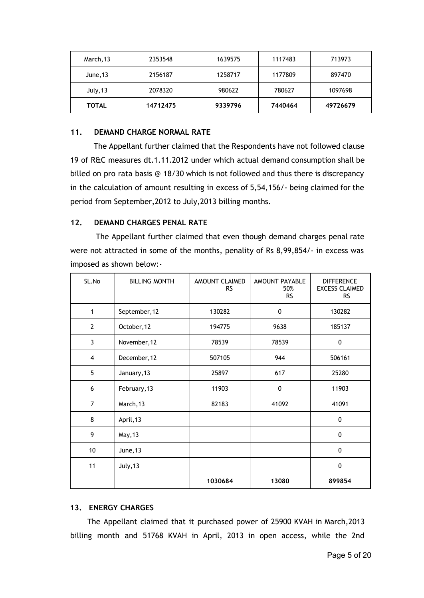| March, 13    | 2353548  | 1639575 | 1117483 | 713973   |  |
|--------------|----------|---------|---------|----------|--|
| June, 13     | 2156187  | 1258717 | 1177809 | 897470   |  |
| July, 13     | 2078320  | 980622  | 780627  | 1097698  |  |
| <b>TOTAL</b> | 14712475 | 9339796 | 7440464 | 49726679 |  |

## **11. DEMAND CHARGE NORMAL RATE**

The Appellant further claimed that the Respondents have not followed clause 19 of R&C measures dt.1.11.2012 under which actual demand consumption shall be billed on pro rata basis @ 18/30 which is not followed and thus there is discrepancy in the calculation of amount resulting in excess of 5,54,156/- being claimed for the period from September,2012 to July,2013 billing months.

## **12. DEMAND CHARGES PENAL RATE**

The Appellant further claimed that even though demand charges penal rate were not attracted in some of the months, penality of Rs 8,99,854/- in excess was imposed as shown below:-

| SL.No          | <b>BILLING MONTH</b> | AMOUNT CLAIMED<br><b>RS</b> | AMOUNT PAYABLE<br>50%<br><b>RS</b> | <b>DIFFERENCE</b><br><b>EXCESS CLAIMED</b><br><b>RS</b> |
|----------------|----------------------|-----------------------------|------------------------------------|---------------------------------------------------------|
| 1              | September, 12        | 130282                      | 0                                  | 130282                                                  |
| $\mathbf{2}$   | October, 12          | 194775                      | 9638                               | 185137                                                  |
| 3              | November, 12         | 78539                       | 78539                              | 0                                                       |
| 4              | December, 12         | 507105                      | 944                                | 506161                                                  |
| 5              | January, 13          | 25897                       | 617                                | 25280                                                   |
| 6              | February, 13         | 11903                       | 0                                  | 11903                                                   |
| $\overline{7}$ | March, 13            | 82183                       | 41092                              | 41091                                                   |
| 8              | April, 13            |                             |                                    | 0                                                       |
| 9              | May, 13              |                             |                                    | 0                                                       |
| 10             | June, 13             |                             |                                    | $\mathbf{0}$                                            |
| 11             | July, 13             |                             |                                    | $\mathbf 0$                                             |
|                |                      | 1030684                     | 13080                              | 899854                                                  |

## **13. ENERGY CHARGES**

The Appellant claimed that it purchased power of 25900 KVAH in March,2013 billing month and 51768 KVAH in April, 2013 in open access, while the 2nd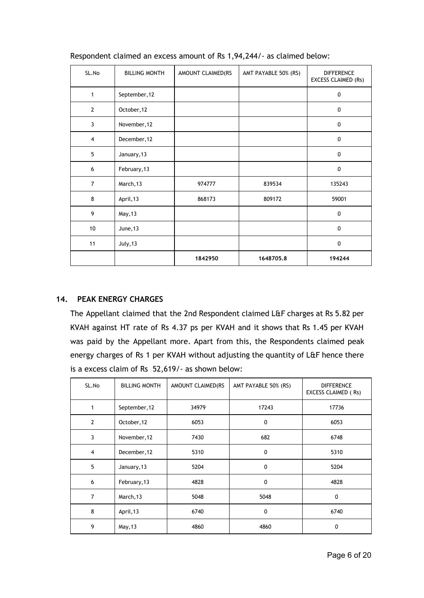| SL.No          | <b>BILLING MONTH</b> | AMOUNT CLAIMED(RS | AMT PAYABLE 50% (RS) | <b>DIFFERENCE</b><br><b>EXCESS CLAIMED (Rs)</b> |
|----------------|----------------------|-------------------|----------------------|-------------------------------------------------|
| 1              | September, 12        |                   |                      | $\mathbf 0$                                     |
| $\overline{2}$ | October, 12          |                   |                      | 0                                               |
| 3              | November, 12         |                   |                      | $\mathbf 0$                                     |
| $\overline{4}$ | December, 12         |                   |                      | 0                                               |
| 5              | January, 13          |                   |                      | $\mathbf 0$                                     |
| 6              | February, 13         |                   |                      | 0                                               |
| $\overline{7}$ | March, 13            | 974777            | 839534               | 135243                                          |
| 8              | April, 13            | 868173            | 809172               | 59001                                           |
| 9              | May, 13              |                   |                      | 0                                               |
| 10             | June, 13             |                   |                      | $\Omega$                                        |
| 11             | July, 13             |                   |                      | $\mathbf{0}$                                    |
|                |                      | 1842950           | 1648705.8            | 194244                                          |

Respondent claimed an excess amount of Rs 1,94,244/- as claimed below:

# **14. PEAK ENERGY CHARGES**

The Appellant claimed that the 2nd Respondent claimed L&F charges at Rs 5.82 per KVAH against HT rate of Rs 4.37 ps per KVAH and it shows that Rs 1.45 per KVAH was paid by the Appellant more. Apart from this, the Respondents claimed peak energy charges of Rs 1 per KVAH without adjusting the quantity of L&F hence there is a excess claim of Rs 52,619/- as shown below:

| SL.No          | <b>BILLING MONTH</b> | AMOUNT CLAIMED(RS | AMT PAYABLE 50% (RS) | <b>DIFFERENCE</b><br>EXCESS CLAIMED (Rs) |  |
|----------------|----------------------|-------------------|----------------------|------------------------------------------|--|
| 1              | September, 12        | 34979             | 17243                | 17736                                    |  |
| $\overline{2}$ | October, 12          | 6053              | 0                    | 6053                                     |  |
| 3              | November, 12         | 7430              | 682                  | 6748                                     |  |
| $\overline{4}$ | December, 12         | 5310              | 0                    | 5310                                     |  |
| 5              | January, 13          | 5204              | 0                    | 5204                                     |  |
| 6              | February, 13         | 4828              | 0                    | 4828                                     |  |
| $\overline{7}$ | March, 13            | 5048              | 5048                 | 0                                        |  |
| 8              | April, 13            | 6740              | $\mathbf 0$          | 6740                                     |  |
| 9              | May, 13              | 4860              | 4860                 | 0                                        |  |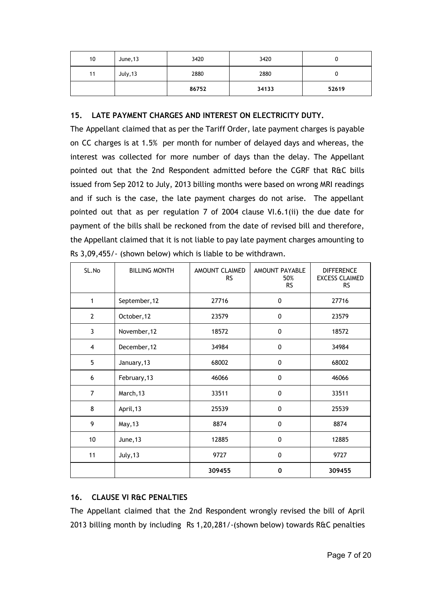| 10 | June, 13 | 3420  | 3420  |       |
|----|----------|-------|-------|-------|
| 11 | July, 13 | 2880  | 2880  | u     |
|    |          | 86752 | 34133 | 52619 |

## **15. LATE PAYMENT CHARGES AND INTEREST ON ELECTRICITY DUTY.**

The Appellant claimed that as per the Tariff Order, late payment charges is payable on CC charges is at 1.5% per month for number of delayed days and whereas, the interest was collected for more number of days than the delay. The Appellant pointed out that the 2nd Respondent admitted before the CGRF that R&C bills issued from Sep 2012 to July, 2013 billing months were based on wrong MRI readings and if such is the case, the late payment charges do not arise. The appellant pointed out that as per regulation 7 of 2004 clause VI.6.1(ii) the due date for payment of the bills shall be reckoned from the date of revised bill and therefore, the Appellant claimed that it is not liable to pay late payment charges amounting to Rs 3,09,455/- (shown below) which is liable to be withdrawn.

| SL.No          | <b>BILLING MONTH</b> | AMOUNT CLAIMED<br><b>RS</b> | AMOUNT PAYABLE<br>50%<br><b>RS</b> | <b>DIFFERENCE</b><br><b>EXCESS CLAIMED</b><br><b>RS</b> |
|----------------|----------------------|-----------------------------|------------------------------------|---------------------------------------------------------|
| 1              | September, 12        | 27716                       | 0                                  | 27716                                                   |
| $\mathbf{2}$   | October, 12          | 23579                       | 0                                  | 23579                                                   |
| 3              | November, 12         | 18572                       | 0                                  | 18572                                                   |
| $\overline{4}$ | December, 12         | 34984                       | $\pmb{0}$                          | 34984                                                   |
| 5              | January, 13          | 68002                       | $\pmb{0}$                          | 68002                                                   |
| 6              | February, 13         | 46066                       | 0                                  | 46066                                                   |
| $\overline{7}$ | March, 13            | 33511                       | $\pmb{0}$                          | 33511                                                   |
| 8              | April, 13            | 25539                       | 0                                  | 25539                                                   |
| 9              | May, 13              | 8874                        | 0                                  | 8874                                                    |
| 10             | June, 13             | 12885                       | 0                                  | 12885                                                   |
| 11             | July, 13             | 9727                        | 0                                  | 9727                                                    |
|                |                      | 309455                      | 0                                  | 309455                                                  |

# **16. CLAUSE VI R&C PENALTIES**

The Appellant claimed that the 2nd Respondent wrongly revised the bill of April 2013 billing month by including Rs 1,20,281/-(shown below) towards R&C penalties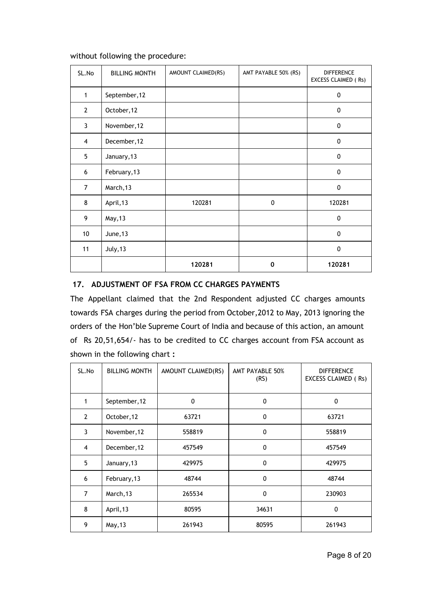| SL.No          | <b>BILLING MONTH</b> | AMOUNT CLAIMED(RS) | AMT PAYABLE 50% (RS) | <b>DIFFERENCE</b><br>EXCESS CLAIMED (Rs) |
|----------------|----------------------|--------------------|----------------------|------------------------------------------|
| $\mathbf{1}$   | September, 12        |                    |                      | $\mathbf 0$                              |
| $\overline{2}$ | October, 12          |                    |                      | $\mathbf 0$                              |
| 3              | November, 12         |                    |                      | 0                                        |
| $\overline{4}$ | December, 12         |                    |                      | $\mathbf 0$                              |
| 5              | January, 13          |                    |                      | 0                                        |
| 6              | February, 13         |                    |                      | $\mathbf{0}$                             |
| $\overline{7}$ | March, 13            |                    |                      | $\mathbf{0}$                             |
| 8              | April, 13            | 120281             | 0                    | 120281                                   |
| 9              | May, 13              |                    |                      | $\mathbf 0$                              |
| 10             | June, 13             |                    |                      | $\mathbf{0}$                             |
| 11             | July, 13             |                    |                      | $\mathbf{0}$                             |
|                |                      | 120281             | 0                    | 120281                                   |

### without following the procedure:

# **17. ADJUSTMENT OF FSA FROM CC CHARGES PAYMENTS**

The Appellant claimed that the 2nd Respondent adjusted CC charges amounts towards FSA charges during the period from October,2012 to May, 2013 ignoring the orders of the Hon'ble Supreme Court of India and because of this action, an amount of Rs 20,51,654/- has to be credited to CC charges account from FSA account as shown in the following chart **:**

| SL.No          | <b>BILLING MONTH</b> | AMOUNT CLAIMED(RS) | AMT PAYABLE 50%<br>(RS) | <b>DIFFERENCE</b><br>EXCESS CLAIMED (Rs) |
|----------------|----------------------|--------------------|-------------------------|------------------------------------------|
| 1              | September, 12        | $\mathbf 0$        | 0                       | 0                                        |
| $\overline{2}$ | October, 12          | 63721              | 0                       | 63721                                    |
| 3              | November, 12         | 558819             | 0                       | 558819                                   |
| 4              | December, 12         | 457549             | 0                       | 457549                                   |
| 5              | January, 13          | 429975             | 0                       | 429975                                   |
| 6              | February, 13         | 48744              | 0                       | 48744                                    |
| $\overline{7}$ | March, 13            | 265534             | 0                       | 230903                                   |
| 8              | April, 13            | 80595              | 34631                   | 0                                        |
| 9              | May, 13              | 261943             | 80595                   | 261943                                   |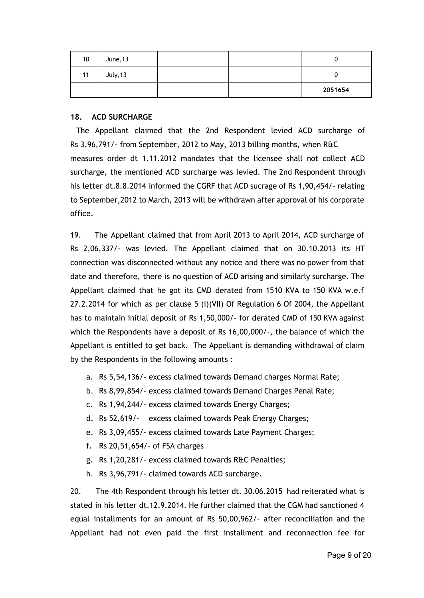| 10 | June, 13 |  |         |
|----|----------|--|---------|
| 11 | July, 13 |  |         |
|    |          |  | 2051654 |

### **18. ACD SURCHARGE**

The Appellant claimed that the 2nd Respondent levied ACD surcharge of Rs 3,96,791/- from September, 2012 to May, 2013 billing months, when R&C measures order dt 1.11.2012 mandates that the licensee shall not collect ACD surcharge, the mentioned ACD surcharge was levied. The 2nd Respondent through his letter dt.8.8.2014 informed the CGRF that ACD sucrage of Rs 1,90,454/- relating to September,2012 to March, 2013 will be withdrawn after approval of his corporate office.

19. The Appellant claimed that from April 2013 to April 2014, ACD surcharge of Rs 2,06,337/- was levied. The Appellant claimed that on 30.10.2013 its HT connection was disconnected without any notice and there was no power from that date and therefore, there is no question of ACD arising and similarly surcharge. The Appellant claimed that he got its CMD derated from 1510 KVA to 150 KVA w.e.f 27.2.2014 for which as per clause 5 (i)(VII) Of Regulation 6 Of 2004, the Appellant has to maintain initial deposit of Rs 1,50,000/- for derated CMD of 150 KVA against which the Respondents have a deposit of Rs 16,00,000/-, the balance of which the Appellant is entitled to get back. The Appellant is demanding withdrawal of claim by the Respondents in the following amounts :

- a. Rs 5,54,136/- excess claimed towards Demand charges Normal Rate;
- b. Rs 8,99,854/- excess claimed towards Demand Charges Penal Rate;
- c. Rs 1,94,244/- excess claimed towards Energy Charges;
- d. Rs 52,619/- excess claimed towards Peak Energy Charges;
- e. Rs 3,09,455/- excess claimed towards Late Payment Charges;
- f. Rs 20,51,654/- of FSA charges
- g. Rs 1,20,281/- excess claimed towards R&C Penalties;
- h. Rs 3,96,791/- claimed towards ACD surcharge.

20. The 4th Respondent through his letter dt. 30.06.2015 had reiterated what is stated in his letter dt.12.9.2014. He further claimed that the CGM had sanctioned 4 equal installments for an amount of Rs 50,00,962/- after reconciliation and the Appellant had not even paid the first installment and reconnection fee for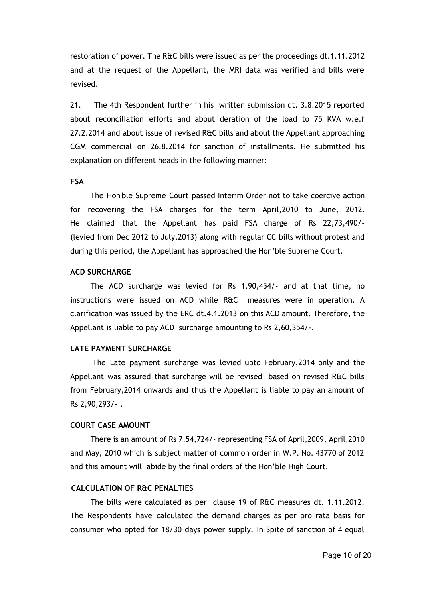restoration of power. The R&C bills were issued as per the proceedings dt.1.11.2012 and at the request of the Appellant, the MRI data was verified and bills were revised.

21. The 4th Respondent further in his written submission dt. 3.8.2015 reported about reconciliation efforts and about deration of the load to 75 KVA w.e.f 27.2.2014 and about issue of revised R&C bills and about the Appellant approaching CGM commercial on 26.8.2014 for sanction of installments. He submitted his explanation on different heads in the following manner:

### **FSA**

The Hon'ble Supreme Court passed Interim Order not to take coercive action for recovering the FSA charges for the term April,2010 to June, 2012. He claimed that the Appellant has paid FSA charge of Rs 22,73,490/- (levied from Dec 2012 to July,2013) along with regular CC bills without protest and during this period, the Appellant has approached the Hon'ble Supreme Court.

## **ACD SURCHARGE**

The ACD surcharge was levied for Rs 1,90,454/- and at that time, no instructions were issued on ACD while R&C measures were in operation. A clarification was issued by the ERC dt.4.1.2013 on this ACD amount. Therefore, the Appellant is liable to pay ACD surcharge amounting to Rs 2,60,354/-.

## **LATE PAYMENT SURCHARGE**

The Late payment surcharge was levied upto February,2014 only and the Appellant was assured that surcharge will be revised based on revised R&C bills from February,2014 onwards and thus the Appellant is liable to pay an amount of Rs 2,90,293/- .

#### **COURT CASE AMOUNT**

There is an amount of Rs 7,54,724/- representing FSA of April,2009, April,2010 and May, 2010 which is subject matter of common order in W.P. No. 43770 of 2012 and this amount will abide by the final orders of the Hon'ble High Court.

## **CALCULATION OF R&C PENALTIES**

The bills were calculated as per clause 19 of R&C measures dt. 1.11.2012. The Respondents have calculated the demand charges as per pro rata basis for consumer who opted for 18/30 days power supply. In Spite of sanction of 4 equal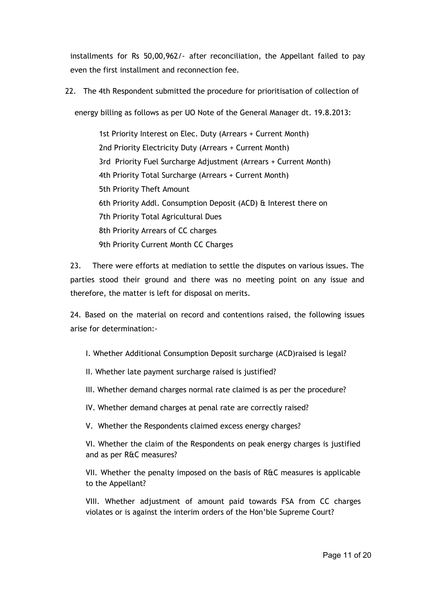installments for Rs 50,00,962/- after reconciliation, the Appellant failed to pay even the first installment and reconnection fee.

22. The 4th Respondent submitted the procedure for prioritisation of collection of

energy billing as follows as per UO Note of the General Manager dt. 19.8.2013:

1st Priority Interest on Elec. Duty (Arrears + Current Month) 2nd Priority Electricity Duty (Arrears + Current Month) 3rd Priority Fuel Surcharge Adjustment (Arrears + Current Month) 4th Priority Total Surcharge (Arrears + Current Month) 5th Priority Theft Amount 6th Priority Addl. Consumption Deposit (ACD) & Interest there on 7th Priority Total Agricultural Dues 8th Priority Arrears of CC charges 9th Priority Current Month CC Charges

23. There were efforts at mediation to settle the disputes on various issues. The parties stood their ground and there was no meeting point on any issue and therefore, the matter is left for disposal on merits.

24. Based on the material on record and contentions raised, the following issues arise for determination:-

I. Whether Additional Consumption Deposit surcharge (ACD)raised is legal?

II. Whether late payment surcharge raised is justified?

- III. Whether demand charges normal rate claimed is as per the procedure?
- IV. Whether demand charges at penal rate are correctly raised?

V. Whether the Respondents claimed excess energy charges?

VI. Whether the claim of the Respondents on peak energy charges is justified and as per R&C measures?

VII. Whether the penalty imposed on the basis of R&C measures is applicable to the Appellant?

VIII. Whether adjustment of amount paid towards FSA from CC charges violates or is against the interim orders of the Hon'ble Supreme Court?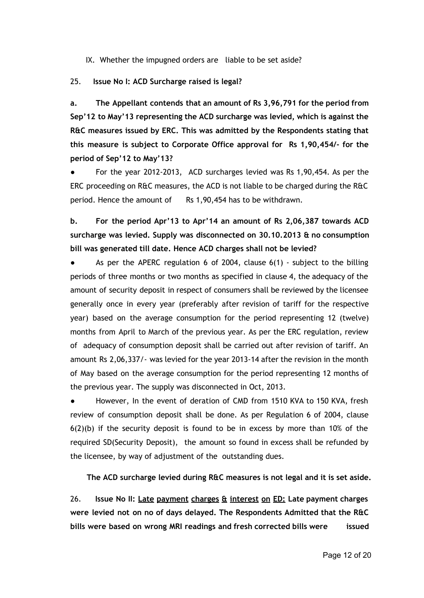IX. Whether the impugned orders are liable to be set aside?

# 25. **Issue No I: ACD Surcharge raised is legal?**

**a. The Appellant contends that an amount of Rs 3,96,791 for the period from Sep'12 to May'13 representing the ACD surcharge was levied, which is against the R&C measures issued by ERC. This was admitted by the Respondents stating that this measure is subject to Corporate Office approval for Rs 1,90,454/- for the period of Sep'12 to May'13?**

For the year 2012-2013, ACD surcharges levied was Rs 1,90,454. As per the ERC proceeding on R&C measures, the ACD is not liable to be charged during the R&C period. Hence the amount of Rs 1,90,454 has to be withdrawn.

**b. For the period Apr'13 to Apr'14 an amount of Rs 2,06,387 towards ACD surcharge was levied. Supply was disconnected on 30.10.2013 & no consumption bill was generated till date. Hence ACD charges shall not be levied?**

As per the APERC regulation 6 of 2004, clause  $6(1)$  - subject to the billing periods of three months or two months as specified in clause 4, the adequacy of the amount of security deposit in respect of consumers shall be reviewed by the licensee generally once in every year (preferably after revision of tariff for the respective year) based on the average consumption for the period representing 12 (twelve) months from April to March of the previous year. As per the ERC regulation, review of adequacy of consumption deposit shall be carried out after revision of tariff. An amount Rs 2,06,337/- was levied for the year 2013-14 after the revision in the month of May based on the average consumption for the period representing 12 months of the previous year. The supply was disconnected in Oct, 2013.

However, In the event of deration of CMD from 1510 KVA to 150 KVA, fresh review of consumption deposit shall be done. As per Regulation 6 of 2004, clause  $6(2)(b)$  if the security deposit is found to be in excess by more than 10% of the required SD(Security Deposit), the amount so found in excess shall be refunded by the licensee, by way of adjustment of the outstanding dues.

**The ACD surcharge levied during R&C measures is not legal and it is set aside.**

26. **Issue No II: Late payment charges & interest on ED: Late payment charges were levied not on no of days delayed. The Respondents Admitted that the R&C bills were based on wrong MRI readings and fresh corrected bills were issued**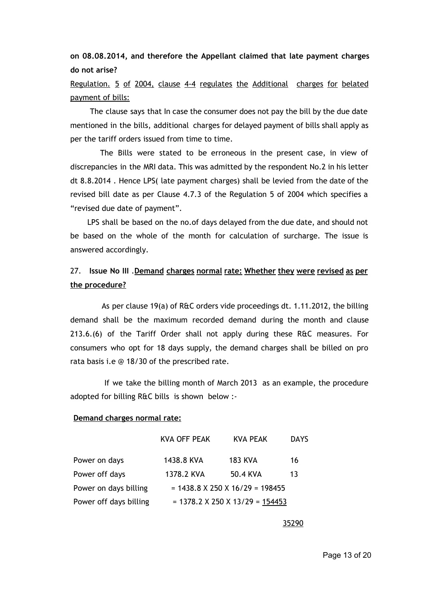**on 08.08.2014, and therefore the Appellant claimed that late payment charges do not arise?**

Regulation. 5 of 2004, clause 4-4 regulates the Additional charges for belated payment of bills:

The clause says that In case the consumer does not pay the bill by the due date mentioned in the bills, additional charges for delayed payment of bills shall apply as per the tariff orders issued from time to time.

The Bills were stated to be erroneous in the present case, in view of discrepancies in the MRI data. This was admitted by the respondent No.2 in his letter dt 8.8.2014 . Hence LPS( late payment charges) shall be levied from the date of the revised bill date as per Clause 4.7.3 of the Regulation 5 of 2004 which specifies a "revised due date of payment".

LPS shall be based on the no.of days delayed from the due date, and should not be based on the whole of the month for calculation of surcharge. The issue is answered accordingly.

# 27. **Issue No III** .**Demand charges normal rate: Whether they were revised as per the procedure?**

As per clause 19(a) of R&C orders vide proceedings dt. 1.11.2012, the billing demand shall be the maximum recorded demand during the month and clause 213.6.(6) of the Tariff Order shall not apply during these R&C measures. For consumers who opt for 18 days supply, the demand charges shall be billed on pro rata basis i.e @ 18/30 of the prescribed rate.

If we take the billing month of March 2013 as an example, the procedure adopted for billing R&C bills is shown below :-

# **Demand charges normal rate:**

|                        | <b>KVA OFF PEAK</b> | KVA PEAK                          | <b>DAYS</b> |
|------------------------|---------------------|-----------------------------------|-------------|
| Power on days          | 1438.8 KVA          | <b>183 KVA</b>                    | 16          |
| Power off days         | 1378.2 KVA          | 50.4 KVA                          | 13          |
| Power on days billing  |                     | $= 1438.8$ X 250 X 16/29 = 198455 |             |
| Power off days billing |                     | $= 1378.2$ X 250 X 13/29 = 154453 |             |

35290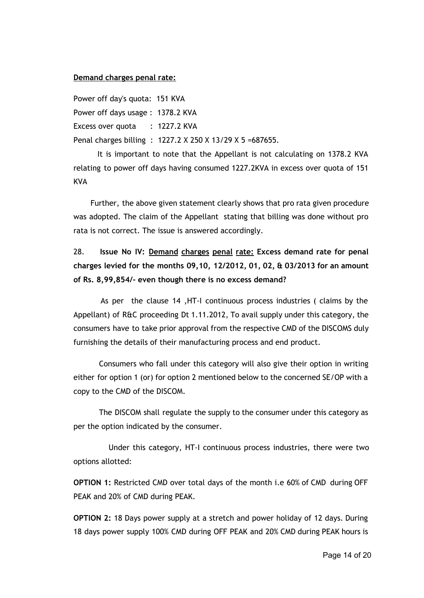### **Demand charges penal rate:**

Power off day's quota: 151 KVA Power off days usage : 1378.2 KVA Excess over quota : 1227.2 KVA Penal charges billing : 1227.2 X 250 X 13/29 X 5 =687655.

It is important to note that the Appellant is not calculating on 1378.2 KVA relating to power off days having consumed 1227.2KVA in excess over quota of 151 **KVA** 

Further, the above given statement clearly shows that pro rata given procedure was adopted. The claim of the Appellant stating that billing was done without pro rata is not correct. The issue is answered accordingly.

# 28. **Issue No IV: Demand charges penal rate: Excess demand rate for penal charges levied for the months 09,10, 12/2012, 01, 02, & 03/2013 for an amount of Rs. 8,99,854/- even though there is no excess demand?**

As per the clause 14 ,HT-I continuous process industries ( claims by the Appellant) of R&C proceeding Dt 1.11.2012, To avail supply under this category, the consumers have to take prior approval from the respective CMD of the DISCOMS duly furnishing the details of their manufacturing process and end product.

Consumers who fall under this category will also give their option in writing either for option 1 (or) for option 2 mentioned below to the concerned SE/OP with a copy to the CMD of the DISCOM.

The DISCOM shall regulate the supply to the consumer under this category as per the option indicated by the consumer.

Under this category, HT-I continuous process industries, there were two options allotted:

**OPTION 1:** Restricted CMD over total days of the month i.e 60% of CMD during OFF PEAK and 20% of CMD during PEAK.

**OPTION 2:** 18 Days power supply at a stretch and power holiday of 12 days. During 18 days power supply 100% CMD during OFF PEAK and 20% CMD during PEAK hours is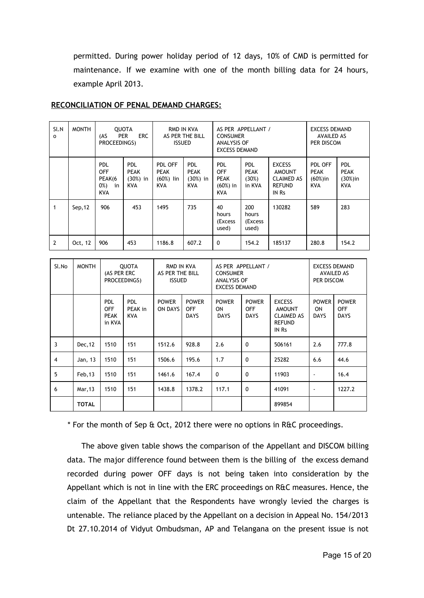permitted. During power holiday period of 12 days, 10% of CMD is permitted for maintenance. If we examine with one of the month billing data for 24 hours, example April 2013.

| Sl.N<br>0      | <b>MONTH</b> | <b>QUOTA</b><br><b>PER</b><br>ERC.<br>(AS<br>PROCEEDINGS)     |                                                | RMD IN KVA<br>AS PER THE BILL<br><b>ISSUED</b>      |                                                |                                                                     | AS PER APPELLANT /<br><b>CONSUMER</b><br><b>ANALYSIS OF</b><br><b>EXCESS DEMAND</b> |                                                                               | <b>EXCESS DEMAND</b><br><b>AVAILED AS</b><br>PER DISCOM |                                                       |
|----------------|--------------|---------------------------------------------------------------|------------------------------------------------|-----------------------------------------------------|------------------------------------------------|---------------------------------------------------------------------|-------------------------------------------------------------------------------------|-------------------------------------------------------------------------------|---------------------------------------------------------|-------------------------------------------------------|
|                |              | <b>PDL</b><br><b>OFF</b><br>PEAK(6<br>0%)<br>in<br><b>KVA</b> | PDL<br><b>PEAK</b><br>$(30%)$ in<br><b>KVA</b> | PDL OFF<br><b>PEAK</b><br>$(60%)$ lin<br><b>KVA</b> | PDL<br><b>PEAK</b><br>$(30%)$ in<br><b>KVA</b> | <b>PDL</b><br><b>OFF</b><br><b>PEAK</b><br>$(60%)$ in<br><b>KVA</b> | PDL<br><b>PEAK</b><br>(30%)<br>in KVA                                               | <b>EXCESS</b><br><b>AMOUNT</b><br><b>CLAIMED AS</b><br><b>REFUND</b><br>IN Rs | PDL OFF<br><b>PEAK</b><br>$(60%)$ in<br><b>KVA</b>      | <b>PDL</b><br><b>PEAK</b><br>$(30%)$ in<br><b>KVA</b> |
| 1              | Sep, 12      | 906                                                           | 453                                            | 1495                                                | 735                                            | 40<br>hours<br>(Excess)<br>used)                                    | 200<br>hours<br>(Excess)<br>used)                                                   | 130282                                                                        | 589                                                     | 283                                                   |
| $\overline{2}$ | Oct, 12      | 906                                                           | 453                                            | 1186.8                                              | 607.2                                          | $\Omega$                                                            | 154.2                                                                               | 185137                                                                        | 280.8                                                   | 154.2                                                 |

### **RECONCILIATION OF PENAL DEMAND CHARGES:**

| Sl.No | <b>MONTH</b> | QUOTA<br>(AS PER ERC<br>PROCEEDINGS)              |                                     | RMD IN KVA<br>AS PER THE BILL<br><b>ISSUED</b> |                                           | AS PER APPELLANT /<br><b>CONSUMER</b><br>ANALYSIS OF<br><b>EXCESS DEMAND</b> |                                           |                                                                        | <b>EXCESS DEMAND</b><br><b>AVAILED AS</b><br>PER DISCOM |                                           |
|-------|--------------|---------------------------------------------------|-------------------------------------|------------------------------------------------|-------------------------------------------|------------------------------------------------------------------------------|-------------------------------------------|------------------------------------------------------------------------|---------------------------------------------------------|-------------------------------------------|
|       |              | <b>PDL</b><br><b>OFF</b><br><b>PEAK</b><br>in KVA | <b>PDL</b><br>PEAK in<br><b>KVA</b> | <b>POWER</b><br><b>ON DAYS</b>                 | <b>POWER</b><br><b>OFF</b><br><b>DAYS</b> | <b>POWER</b><br>ON<br><b>DAYS</b>                                            | <b>POWER</b><br><b>OFF</b><br><b>DAYS</b> | <b>EXCESS</b><br><b>AMOUNT</b><br><b>CLAIMED AS</b><br>REFUND<br>IN Rs | <b>POWER</b><br>ON<br><b>DAYS</b>                       | <b>POWER</b><br><b>OFF</b><br><b>DAYS</b> |
| 3     | Dec, 12      | 1510                                              | 151                                 | 1512.6                                         | 928.8                                     | 2.6                                                                          | $\mathbf{0}$                              | 506161                                                                 | 2.6                                                     | 777.8                                     |
| 4     | Jan, 13      | 1510                                              | 151                                 | 1506.6                                         | 195.6                                     | 1.7                                                                          | $\mathbf{0}$                              | 25282                                                                  | 6.6                                                     | 44.6                                      |
| 5     | Feb, 13      | 1510                                              | 151                                 | 1461.6                                         | 167.4                                     | $\Omega$                                                                     | $\mathbf{0}$                              | 11903                                                                  | $\overline{\phantom{a}}$                                | 16.4                                      |
| 6     | Mar, 13      | 1510                                              | 151                                 | 1438.8                                         | 1378.2                                    | 117.1                                                                        | $\Omega$                                  | 41091                                                                  | $\overline{\phantom{a}}$                                | 1227.2                                    |
|       | <b>TOTAL</b> |                                                   |                                     |                                                |                                           |                                                                              |                                           | 899854                                                                 |                                                         |                                           |

\* For the month of Sep & Oct, 2012 there were no options in R&C proceedings.

The above given table shows the comparison of the Appellant and DISCOM billing data. The major difference found between them is the billing of the excess demand recorded during power OFF days is not being taken into consideration by the Appellant which is not in line with the ERC proceedings on R&C measures. Hence, the claim of the Appellant that the Respondents have wrongly levied the charges is untenable. The reliance placed by the Appellant on a decision in Appeal No. 154/2013 Dt 27.10.2014 of Vidyut Ombudsman, AP and Telangana on the present issue is not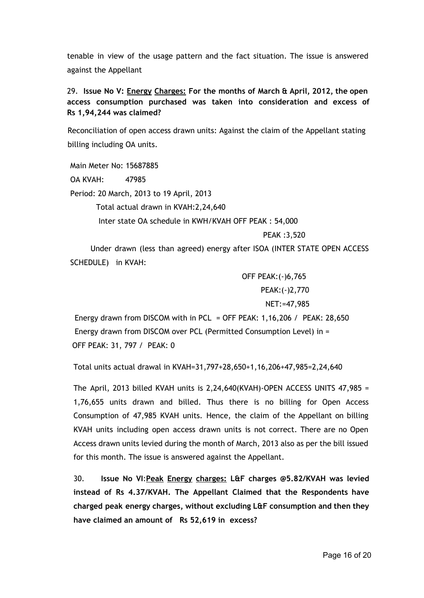tenable in view of the usage pattern and the fact situation. The issue is answered against the Appellant

# 29. **Issue No V: Energy Charges: For the months of March & April, 2012, the open access consumption purchased was taken into consideration and excess of Rs 1,94,244 was claimed?**

Reconciliation of open access drawn units: Against the claim of the Appellant stating billing including OA units.

Main Meter No: 15687885 OA KVAH: 47985 Period: 20 March, 2013 to 19 April, 2013 Total actual drawn in KVAH:2,24,640 Inter state OA schedule in KWH/KVAH OFF PEAK : 54,000 PEAK :3,520

Under drawn (less than agreed) energy after ISOA (INTER STATE OPEN ACCESS SCHEDULE) in KVAH:

> OFF PEAK:(-)6,765 PEAK:(-)2,770 NET:=47,985

Energy drawn from DISCOM with in PCL = OFF PEAK:  $1,16,206$  / PEAK:  $28,650$ Energy drawn from DISCOM over PCL (Permitted Consumption Level) in = OFF PEAK: 31, 797 / PEAK: 0

Total units actual drawal in KVAH=31,797+28,650+1,16,206+47,985=2,24,640

The April, 2013 billed KVAH units is  $2,24,640$ (KVAH)-OPEN ACCESS UNITS 47,985 = 1,76,655 units drawn and billed. Thus there is no billing for Open Access Consumption of 47,985 KVAH units. Hence, the claim of the Appellant on billing KVAH units including open access drawn units is not correct. There are no Open Access drawn units levied during the month of March, 2013 also as per the bill issued for this month. The issue is answered against the Appellant.

30. **Issue No VI**:**Peak Energy charges: L&F charges @5.82/KVAH was levied instead of Rs 4.37/KVAH. The Appellant Claimed that the Respondents have charged peak energy charges, without excluding L&F consumption and then they have claimed an amount of Rs 52,619 in excess?**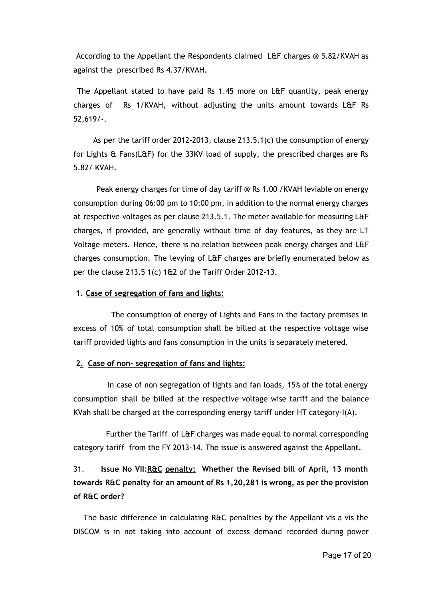According to the Appellant the Respondents claimed L&F charges @ 5.82/KVAH as against the prescribed Rs 4.37/KVAH.

The Appellant stated to have paid Rs 1.45 more on L&F quantity, peak energy charges of Rs 1/KVAH, without adjusting the units amount towards L&F Rs 52,619/-.

As per the tariff order 2012-2013, clause 213.5.1(c) the consumption of energy for Lights & Fans(L&F) for the 33KV load of supply, the prescribed charges are Rs 5.82/ KVAH.

Peak energy charges for time of day tariff @ Rs 1.00 /KVAH leviable on energy consumption during 06:00 pm to 10:00 pm, in addition to the normal energy charges at respective voltages as per clause 213.5.1. The meter available for measuring L&F charges, if provided, are generally without time of day features, as they are LT Voltage meters. Hence, there is no relation between peak energy charges and L&F charges consumption. The levying of L&F charges are briefly enumerated below as per the clause 213.5 1(c) 1&2 of the Tariff Order 2012-13.

#### **1. Case of segregation of fans and lights:**

The consumption of energy of Lights and Fans in the factory premises in excess of 10% of total consumption shall be billed at the respective voltage wise tariff provided lights and fans consumption in the units is separately metered.

#### **2.Case of non- segregation of fans and lights:**

In case of non segregation of lights and fan loads, 15% of the total energy consumption shall be billed at the respective voltage wise tariff and the balance KVah shall be charged at the corresponding energy tariff under HT category-I(A).

Further the Tariff of L&F charges was made equal to normal corresponding category tariff from the FY 2013-14. The issue is answered against the Appellant.

# 31. **Issue No VII**:**R&C penalty: Whether the Revised bill of April, 13 month towards R&C penalty for an amount of Rs 1,20,281 is wrong, as per the provision of R&C order?**

The basic difference in calculating R&C penalties by the Appellant vis a vis the DISCOM is in not taking into account of excess demand recorded during power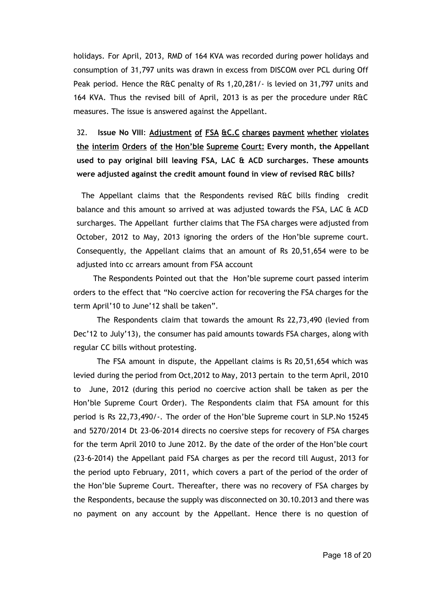holidays. For April, 2013, RMD of 164 KVA was recorded during power holidays and consumption of 31,797 units was drawn in excess from DISCOM over PCL during Off Peak period. Hence the R&C penalty of Rs 1,20,281/- is levied on 31,797 units and 164 KVA. Thus the revised bill of April, 2013 is as per the procedure under R&C measures. The issue is answered against the Appellant.

32. **Issue No VIII**: **Adjustment of FSA &C.C charges payment whether violates the interim Orders of the Hon'ble Supreme Court: Every month, the Appellant used to pay original bill leaving FSA, LAC & ACD surcharges. These amounts were adjusted against the credit amount found in view of revised R&C bills?**

The Appellant claims that the Respondents revised R&C bills finding credit balance and this amount so arrived at was adjusted towards the FSA, LAC & ACD surcharges. The Appellant further claims that The FSA charges were adjusted from October, 2012 to May, 2013 ignoring the orders of the Hon'ble supreme court. Consequently, the Appellant claims that an amount of Rs 20,51,654 were to be adjusted into cc arrears amount from FSA account

The Respondents Pointed out that the Hon'ble supreme court passed interim orders to the effect that "No coercive action for recovering the FSA charges for the term April'10 to June'12 shall be taken".

The Respondents claim that towards the amount Rs 22,73,490 (levied from Dec'12 to July'13), the consumer has paid amounts towards FSA charges, along with regular CC bills without protesting.

The FSA amount in dispute, the Appellant claims is Rs 20,51,654 which was levied during the period from Oct,2012 to May, 2013 pertain to the term April, 2010 to June, 2012 (during this period no coercive action shall be taken as per the Hon'ble Supreme Court Order). The Respondents claim that FSA amount for this period is Rs 22,73,490/-. The order of the Hon'ble Supreme court in SLP.No 15245 and 5270/2014 Dt 23-06-2014 directs no coersive steps for recovery of FSA charges for the term April 2010 to June 2012. By the date of the order of the Hon'ble court (23-6-2014) the Appellant paid FSA charges as per the record till August, 2013 for the period upto February, 2011, which covers a part of the period of the order of the Hon'ble Supreme Court. Thereafter, there was no recovery of FSA charges by the Respondents, because the supply was disconnected on 30.10.2013 and there was no payment on any account by the Appellant. Hence there is no question of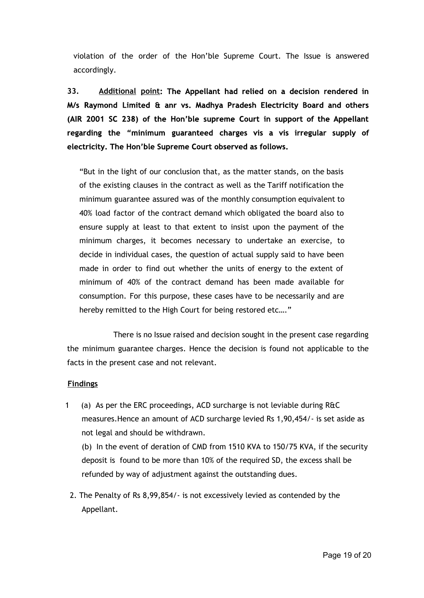violation of the order of the Hon'ble Supreme Court. The Issue is answered accordingly.

**33. Additional point: The Appellant had relied on a decision rendered in M/s Raymond Limited & anr vs. Madhya Pradesh Electricity Board and others (AIR 2001 SC 238) of the Hon'ble supreme Court in support of the Appellant regarding the "minimum guaranteed charges vis a vis irregular supply of electricity. The Hon'ble Supreme Court observed as follows.**

"But in the light of our conclusion that, as the matter stands, on the basis of the existing clauses in the contract as well as the Tariff notification the minimum guarantee assured was of the monthly consumption equivalent to 40% load factor of the contract demand which obligated the board also to ensure supply at least to that extent to insist upon the payment of the minimum charges, it becomes necessary to undertake an exercise, to decide in individual cases, the question of actual supply said to have been made in order to find out whether the units of energy to the extent of minimum of 40% of the contract demand has been made available for consumption. For this purpose, these cases have to be necessarily and are hereby remitted to the High Court for being restored etc…."

There is no Issue raised and decision sought in the present case regarding the minimum guarantee charges. Hence the decision is found not applicable to the facts in the present case and not relevant.

#### **Findings**

1 (a) As per the ERC proceedings, ACD surcharge is not leviable during R&C measures.Hence an amount of ACD surcharge levied Rs 1,90,454/- is set aside as not legal and should be withdrawn.

(b) In the event of deration of CMD from 1510 KVA to 150/75 KVA, if the security deposit is found to be more than 10% of the required SD, the excess shall be refunded by way of adjustment against the outstanding dues.

2. The Penalty of Rs 8,99,854/- is not excessively levied as contended by the Appellant.